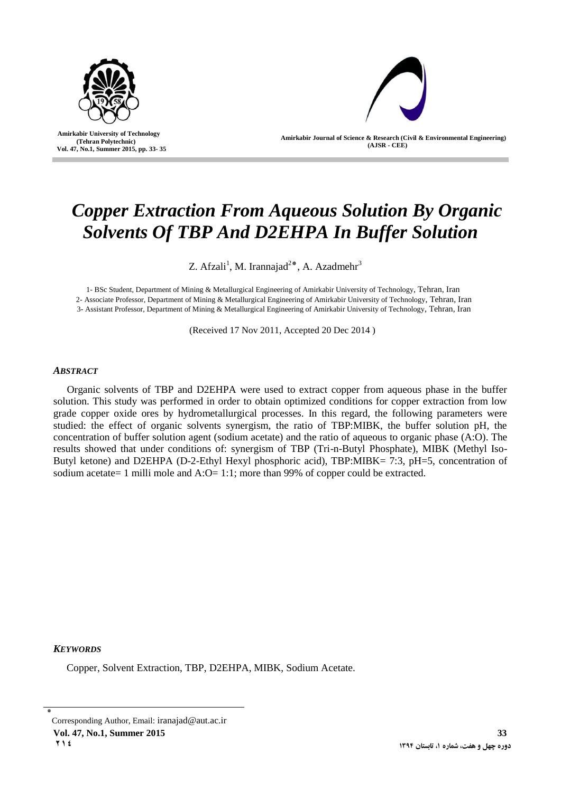

 **Amirkabir University of Technology (Tehran Polytechnic) Vol. 47, No.1, Summer 2015, pp. 33- 35**

l

**Amirkabir Journal of Science & Research (Civil & Environmental Engineering) (AJSR - CEE)**

# *Copper Extraction From Aqueous Solution By Organic Solvents Of TBP And D2EHPA In Buffer Solution*

Z. Afzali<sup>1</sup>, M. Irannajad<sup>2</sup>\*, A. Azadmehr<sup>3</sup>

1- BSc Student, Department of Mining & Metallurgical Engineering of Amirkabir University of Technology, Tehran, Iran

2- Associate Professor, Department of Mining & Metallurgical Engineering of Amirkabir University of Technology, Tehran, Iran

3- Assistant Professor, Department of Mining & Metallurgical Engineering of Amirkabir University of Technology, Tehran, Iran

(Received 17 Nov 2011, Accepted 20 Dec 2014 )

## *ABSTRACT*

Organic solvents of TBP and D2EHPA were used to extract copper from aqueous phase in the buffer solution. This study was performed in order to obtain optimized conditions for copper extraction from low grade copper oxide ores by hydrometallurgical processes. In this regard, the following parameters were studied: the effect of organic solvents synergism, the ratio of TBP:MIBK, the buffer solution pH, the concentration of buffer solution agent (sodium acetate) and the ratio of aqueous to organic phase (A:O). The results showed that under conditions of: synergism of TBP (Tri-n-Butyl Phosphate), MIBK (Methyl Iso-Butyl ketone) and D2EHPA (D-2-Ethyl Hexyl phosphoric acid), TBP:MIBK= 7:3, pH=5, concentration of sodium acetate= 1 milli mole and  $A:O=1:1$ ; more than 99% of copper could be extracted.

*KEYWORDS*

Copper, Solvent Extraction, TBP, D2EHPA, MIBK, Sodium Acetate.

٭ Corresponding Author, Email: iranajad@aut.ac.ir **Vol. 47, No.1, Summer 2015 33 214 1394 1394 1394 1394 1394 1394 1394 1394 1394 1394 1394 1395**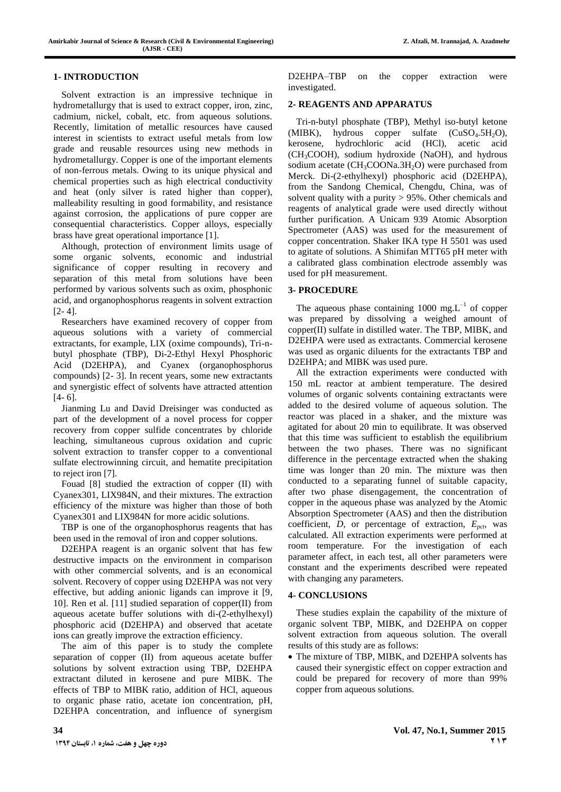### **1- INTRODUCTION**

Solvent extraction is an impressive technique in hydrometallurgy that is used to extract copper, iron, zinc, cadmium, nickel, cobalt, etc. from aqueous solutions. Recently, limitation of metallic resources have caused interest in scientists to extract useful metals from low grade and reusable resources using new methods in hydrometallurgy. Copper is one of the important elements of non-ferrous metals. Owing to its unique physical and chemical properties such as high electrical conductivity and heat (only silver is rated higher than copper), malleability resulting in good formability, and resistance against corrosion, the applications of pure copper are consequential characteristics. Copper alloys, especially brass have great operational importance [1].

Although, protection of environment limits usage of some organic solvents, economic and industrial significance of copper resulting in recovery and separation of this metal from solutions have been performed by various solvents such as oxim, phosphonic acid, and organophosphorus reagents in solvent extraction  $[2 - 4]$ .

Researchers have examined recovery of copper from aqueous solutions with a variety of commercial extractants, for example, LIX (oxime compounds), Tri-nbutyl phosphate (TBP), Di-2-Ethyl Hexyl Phosphoric Acid (D2EHPA), and Cyanex (organophosphorus compounds) [2- 3]. In recent years, some new extractants and synergistic effect of solvents have attracted attention [4- 6].

Jianming Lu and David Dreisinger was conducted as part of the development of a novel process for copper recovery from copper sulfide concentrates by chloride leaching, simultaneous cuprous oxidation and cupric solvent extraction to transfer copper to a conventional sulfate electrowinning circuit, and hematite precipitation to reject iron [7].

Fouad [8] studied the extraction of copper (II) with Cyanex301, LIX984N, and their mixtures. The extraction efficiency of the mixture was higher than those of both Cyanex301 and LIX984N for more acidic solutions.

TBP is one of the organophosphorus reagents that has been used in the removal of iron and copper solutions.

D2EHPA reagent is an organic solvent that has few destructive impacts on the environment in comparison with other commercial solvents, and is an economical solvent. Recovery of copper using D2EHPA was not very effective, but adding anionic ligands can improve it [9, 10]. Ren et al. [11] studied separation of copper(II) from aqueous acetate buffer solutions with di-(2-ethylhexyl) phosphoric acid (D2EHPA) and observed that acetate ions can greatly improve the extraction efficiency.

The aim of this paper is to study the complete separation of copper (II) from aqueous acetate buffer solutions by solvent extraction using TBP, D2EHPA extractant diluted in kerosene and pure MIBK. The effects of TBP to MIBK ratio, addition of HCl, aqueous to organic phase ratio, acetate ion concentration, pH, D2EHPA concentration, and influence of synergism D2EHPA–TBP on the copper extraction were investigated.

### **2- REAGENTS AND APPARATUS**

Tri-n-butyl phosphate (TBP), Methyl iso-butyl ketone (MIBK), hydrous copper sulfate  $(CuSO<sub>4</sub>.5H<sub>2</sub>O)$ ,<br>kerosene, hydrochloric acid (HCl), acetic acid hydrochloric acid (HCl), acetic acid (CH3COOH), sodium hydroxide (NaOH), and hydrous sodium acetate  $(CH_3COONa.3H_2O)$  were purchased from Merck. Di-(2-ethylhexyl) phosphoric acid (D2EHPA), from the Sandong Chemical, Chengdu, China, was of solvent quality with a purity > 95%. Other chemicals and reagents of analytical grade were used directly without further purification. A Unicam 939 Atomic Absorption Spectrometer (AAS) was used for the measurement of copper concentration. Shaker IKA type H 5501 was used to agitate of solutions. A Shimifan MTT65 pH meter with a calibrated glass combination electrode assembly was used for pH measurement.

### **3- PROCEDURE**

The aqueous phase containing 1000 mg. $L^{-1}$  of copper was prepared by dissolving a weighed amount of copper(II) sulfate in distilled water. The TBP, MIBK, and D2EHPA were used as extractants. Commercial kerosene was used as organic diluents for the extractants TBP and D2EHPA; and MIBK was used pure.

All the extraction experiments were conducted with 150 mL reactor at ambient temperature. The desired volumes of organic solvents containing extractants were added to the desired volume of aqueous solution. The reactor was placed in a shaker, and the mixture was agitated for about 20 min to equilibrate. It was observed that this time was sufficient to establish the equilibrium between the two phases. There was no significant difference in the percentage extracted when the shaking time was longer than 20 min. The mixture was then conducted to a separating funnel of suitable capacity, after two phase disengagement, the concentration of copper in the aqueous phase was analyzed by the Atomic Absorption Spectrometer (AAS) and then the distribution coefficient, *D*, or percentage of extraction,  $E_{\text{pct}}$ , was calculated. All extraction experiments were performed at room temperature. For the investigation of each parameter affect, in each test, all other parameters were constant and the experiments described were repeated with changing any parameters.

#### **4- CONCLUSIONS**

These studies explain the capability of the mixture of organic solvent TBP, MIBK, and D2EHPA on copper solvent extraction from aqueous solution. The overall results of this study are as follows:

 The mixture of TBP, MIBK, and D2EHPA solvents has caused their synergistic effect on copper extraction and could be prepared for recovery of more than 99% copper from aqueous solutions.